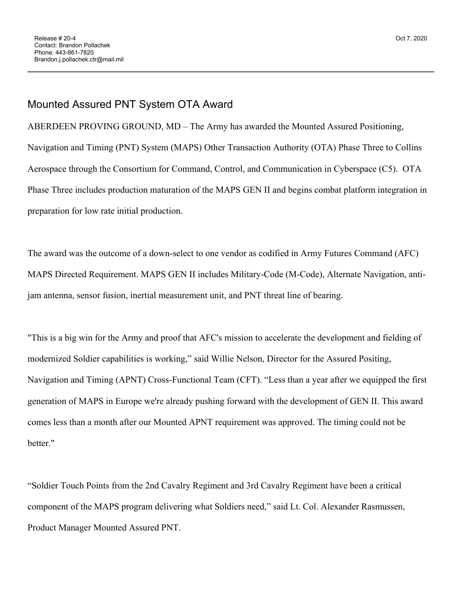## Mounted Assured PNT System OTA Award

ABERDEEN PROVING GROUND, MD – The Army has awarded the Mounted Assured Positioning, Navigation and Timing (PNT) System (MAPS) Other Transaction Authority (OTA) Phase Three to Collins Aerospace through the Consortium for Command, Control, and Communication in Cyberspace (C5). OTA Phase Three includes production maturation of the MAPS GEN II and begins combat platform integration in preparation for low rate initial production.

The award was the outcome of a down-select to one vendor as codified in Army Futures Command (AFC) MAPS Directed Requirement. MAPS GEN II includes Military-Code (M-Code), Alternate Navigation, antijam antenna, sensor fusion, inertial measurement unit, and PNT threat line of bearing.

"This is a big win for the Army and proof that AFC's mission to accelerate the development and fielding of modernized Soldier capabilities is working," said Willie Nelson, Director for the Assured Positing, Navigation and Timing (APNT) Cross-Functional Team (CFT). "Less than a year after we equipped the first generation of MAPS in Europe we're already pushing forward with the development of GEN II. This award comes less than a month after our Mounted APNT requirement was approved. The timing could not be better."

"Soldier Touch Points from the 2nd Cavalry Regiment and 3rd Cavalry Regiment have been a critical component of the MAPS program delivering what Soldiers need," said Lt. Col. Alexander Rasmussen, Product Manager Mounted Assured PNT.